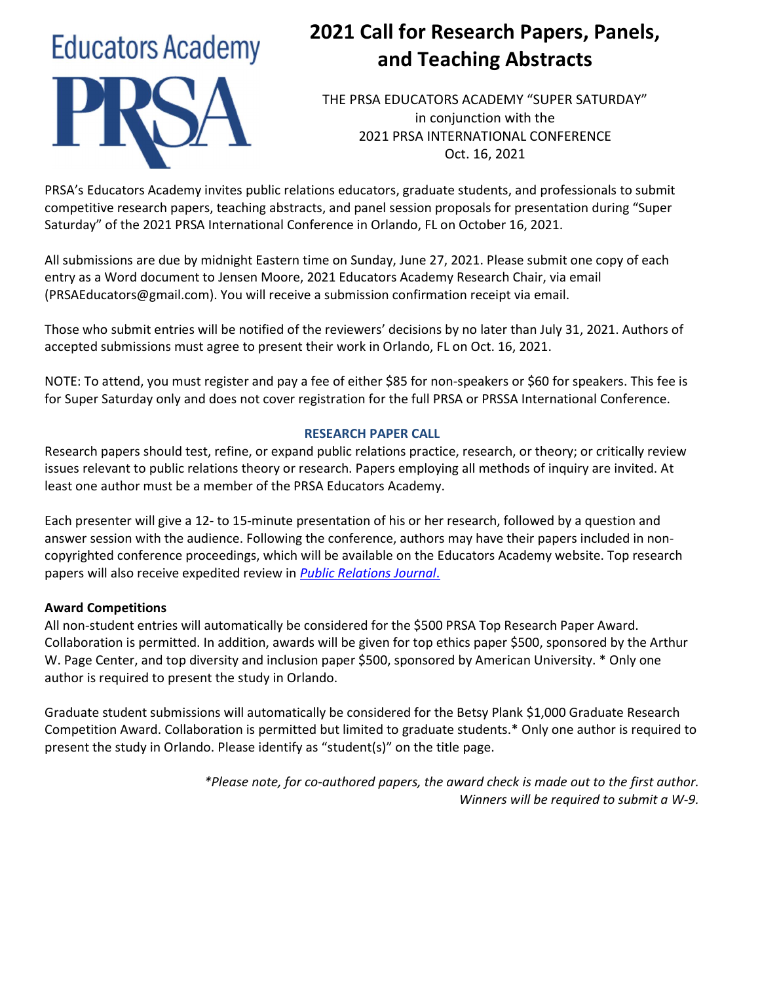# **Educators Academy**

# 2021 Call for Research Papers, Panels, and Teaching Abstracts

THE PRSA EDUCATORS ACADEMY "SUPER SATURDAY" in conjunction with the 2021 PRSA INTERNATIONAL CONFERENCE Oct. 16, 2021

PRSA's Educators Academy invites public relations educators, graduate students, and professionals to submit competitive research papers, teaching abstracts, and panel session proposals for presentation during "Super Saturday" of the 2021 PRSA International Conference in Orlando, FL on October 16, 2021.

All submissions are due by midnight Eastern time on Sunday, June 27, 2021. Please submit one copy of each entry as a Word document to Jensen Moore, 2021 Educators Academy Research Chair, via email (PRSAEducators@gmail.com). You will receive a submission confirmation receipt via email.

Those who submit entries will be notified of the reviewers' decisions by no later than July 31, 2021. Authors of accepted submissions must agree to present their work in Orlando, FL on Oct. 16, 2021.

NOTE: To attend, you must register and pay a fee of either \$85 for non-speakers or \$60 for speakers. This fee is for Super Saturday only and does not cover registration for the full PRSA or PRSSA International Conference.

# RESEARCH PAPER CALL

Research papers should test, refine, or expand public relations practice, research, or theory; or critically review issues relevant to public relations theory or research. Papers employing all methods of inquiry are invited. At least one author must be a member of the PRSA Educators Academy.

Each presenter will give a 12- to 15-minute presentation of his or her research, followed by a question and answer session with the audience. Following the conference, authors may have their papers included in noncopyrighted conference proceedings, which will be available on the Educators Academy website. Top research papers will also receive expedited review in *Public Relations Journal*.

# Award Competitions

All non-student entries will automatically be considered for the \$500 PRSA Top Research Paper Award. Collaboration is permitted. In addition, awards will be given for top ethics paper \$500, sponsored by the Arthur W. Page Center, and top diversity and inclusion paper \$500, sponsored by American University. \* Only one author is required to present the study in Orlando.

Graduate student submissions will automatically be considered for the Betsy Plank \$1,000 Graduate Research Competition Award. Collaboration is permitted but limited to graduate students.\* Only one author is required to present the study in Orlando. Please identify as "student(s)" on the title page.

> \*Please note, for co-authored papers, the award check is made out to the first author. Winners will be required to submit a W-9.